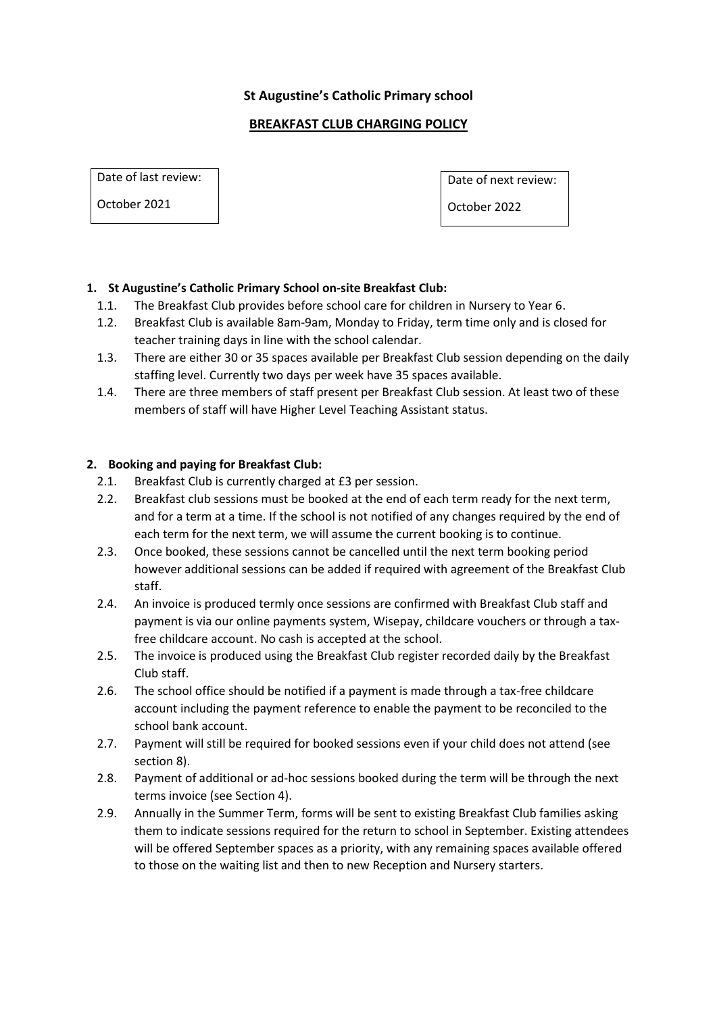## **St Augustine's Catholic Primary school**

## **BREAKFAST CLUB CHARGING POLICY**

Date of last review:

October 2021

Date of next review:

October 2022

# **1. St Augustine's Catholic Primary School on-site Breakfast Club:**

- 1.1. The Breakfast Club provides before school care for children in Nursery to Year 6.
- 1.2. Breakfast Club is available 8am-9am, Monday to Friday, term time only and is closed for teacher training days in line with the school calendar.
- 1.3. There are either 30 or 35 spaces available per Breakfast Club session depending on the daily staffing level. Currently two days per week have 35 spaces available.
- 1.4. There are three members of staff present per Breakfast Club session. At least two of these members of staff will have Higher Level Teaching Assistant status.

### **2. Booking and paying for Breakfast Club:**

- 2.1. Breakfast Club is currently charged at £3 per session.
- 2.2. Breakfast club sessions must be booked at the end of each term ready for the next term, and for a term at a time. If the school is not notified of any changes required by the end of each term for the next term, we will assume the current booking is to continue.
- 2.3. Once booked, these sessions cannot be cancelled until the next term booking period however additional sessions can be added if required with agreement of the Breakfast Club staff.
- 2.4. An invoice is produced termly once sessions are confirmed with Breakfast Club staff and payment is via our online payments system, Wisepay, childcare vouchers or through a taxfree childcare account. No cash is accepted at the school.
- 2.5. The invoice is produced using the Breakfast Club register recorded daily by the Breakfast Club staff.
- 2.6. The school office should be notified if a payment is made through a tax-free childcare account including the payment reference to enable the payment to be reconciled to the school bank account.
- 2.7. Payment will still be required for booked sessions even if your child does not attend (see section 8).
- 2.8. Payment of additional or ad-hoc sessions booked during the term will be through the next terms invoice (see Section 4).
- 2.9. Annually in the Summer Term, forms will be sent to existing Breakfast Club families asking them to indicate sessions required for the return to school in September. Existing attendees will be offered September spaces as a priority, with any remaining spaces available offered to those on the waiting list and then to new Reception and Nursery starters.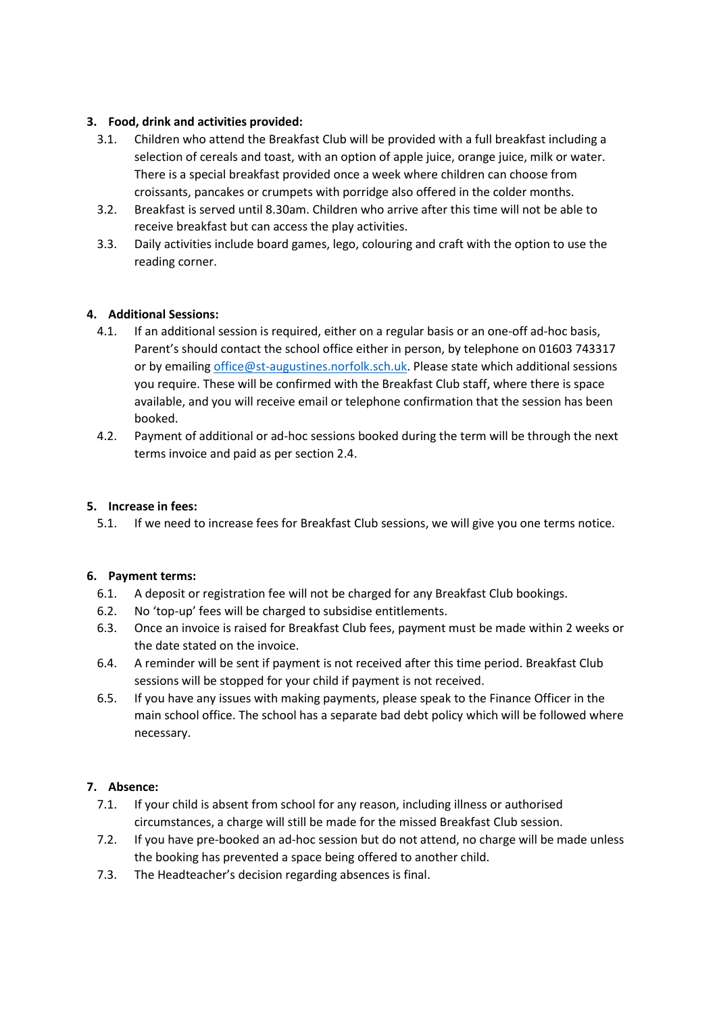### **3. Food, drink and activities provided:**

- 3.1. Children who attend the Breakfast Club will be provided with a full breakfast including a selection of cereals and toast, with an option of apple juice, orange juice, milk or water. There is a special breakfast provided once a week where children can choose from croissants, pancakes or crumpets with porridge also offered in the colder months.
- 3.2. Breakfast is served until 8.30am. Children who arrive after this time will not be able to receive breakfast but can access the play activities.
- 3.3. Daily activities include board games, lego, colouring and craft with the option to use the reading corner.

# **4. Additional Sessions:**

- 4.1. If an additional session is required, either on a regular basis or an one-off ad-hoc basis, Parent's should contact the school office either in person, by telephone on 01603 743317 or by emailin[g office@st-augustines.norfolk.sch.uk.](mailto:office@st-augustines.norfolk.sch.uk) Please state which additional sessions you require. These will be confirmed with the Breakfast Club staff, where there is space available, and you will receive email or telephone confirmation that the session has been booked.
- 4.2. Payment of additional or ad-hoc sessions booked during the term will be through the next terms invoice and paid as per section 2.4.

### **5. Increase in fees:**

5.1. If we need to increase fees for Breakfast Club sessions, we will give you one terms notice.

### **6. Payment terms:**

- 6.1. A deposit or registration fee will not be charged for any Breakfast Club bookings.
- 6.2. No 'top-up' fees will be charged to subsidise entitlements.
- 6.3. Once an invoice is raised for Breakfast Club fees, payment must be made within 2 weeks or the date stated on the invoice.
- 6.4. A reminder will be sent if payment is not received after this time period. Breakfast Club sessions will be stopped for your child if payment is not received.
- 6.5. If you have any issues with making payments, please speak to the Finance Officer in the main school office. The school has a separate bad debt policy which will be followed where necessary.

### **7. Absence:**

- 7.1. If your child is absent from school for any reason, including illness or authorised circumstances, a charge will still be made for the missed Breakfast Club session.
- 7.2. If you have pre-booked an ad-hoc session but do not attend, no charge will be made unless the booking has prevented a space being offered to another child.
- 7.3. The Headteacher's decision regarding absences is final.